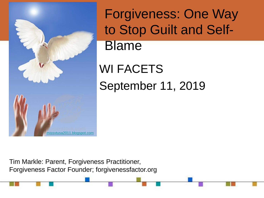

Forgiveness: One Way to Stop Guilt and Self-Blame

WI FACETS September 11, 2019

Tim Markle: Parent, Forgiveness Practitioner, Forgiveness Factor Founder; forgivenessfactor.org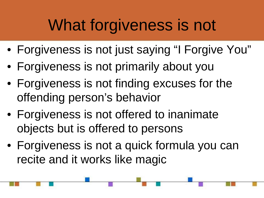#### What forgiveness is not

- Forgiveness is not just saying "I Forgive You"
- Forgiveness is not primarily about you
- Forgiveness is not finding excuses for the offending person's behavior
- Forgiveness is not offered to inanimate objects but is offered to persons
- Forgiveness is not a quick formula you can recite and it works like magic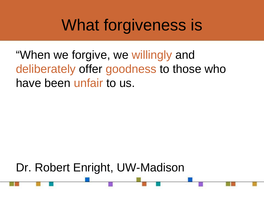#### What forgiveness is

"When we forgive, we willingly and deliberately offer goodness to those who have been unfair to us.

Dr. Robert Enright, UW-Madison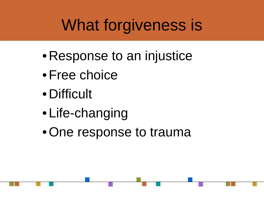# What forgiveness is

- Response to an injustice
- •Free choice
- Difficult
- Life-changing
- •One response to trauma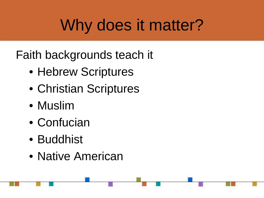## Why does it matter?

Faith backgrounds teach it

- Hebrew Scriptures
- Christian Scriptures
- Muslim
- Confucian
- Buddhist
- Native American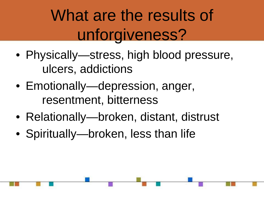# What are the results of unforgiveness?

- Physically—stress, high blood pressure, ulcers, addictions
- Emotionally—depression, anger, resentment, bitterness
- Relationally—broken, distant, distrust
- Spiritually—broken, less than life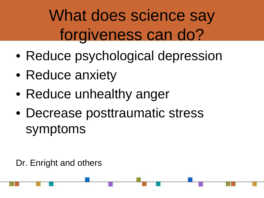# What does science say forgiveness can do?

- Reduce psychological depression
- Reduce anxiety
- Reduce unhealthy anger
- Decrease posttraumatic stress symptoms

Dr. Enright and others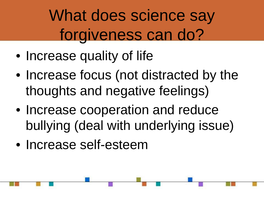## What does science say forgiveness can do?

- Increase quality of life
- Increase focus (not distracted by the thoughts and negative feelings)
- Increase cooperation and reduce bullying (deal with underlying issue)
- Increase self-esteem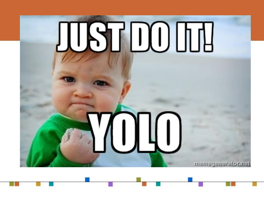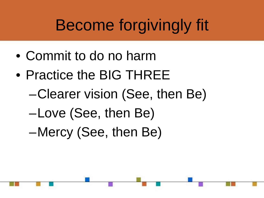# Become forgivingly fit

- Commit to do no harm
- Practice the BIG THREE
	- –Clearer vision (See, then Be)
	- –Love (See, then Be)
	- –Mercy (See, then Be)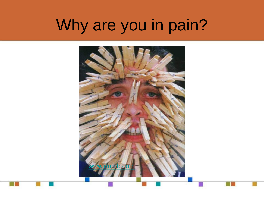#### Why are you in pain?

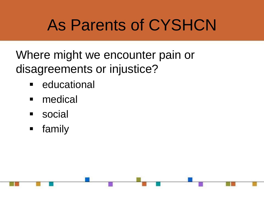#### As Parents of CYSHCN

Where might we encounter pain or disagreements or injustice?

- **E** educational
- **nedical**
- **social**
- **F** family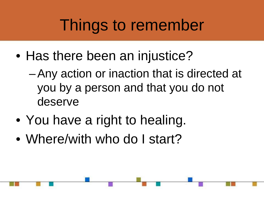#### Things to remember

- Has there been an injustice?
	- –Any action or inaction that is directed at you by a person and that you do not deserve
- You have a right to healing.
- Where/with who do I start?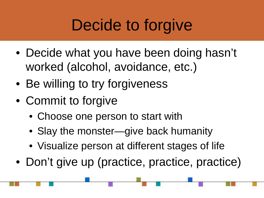### Decide to forgive

- Decide what you have been doing hasn't worked (alcohol, avoidance, etc.)
- Be willing to try forgiveness
- Commit to forgive
	- Choose one person to start with
	- Slay the monster—give back humanity
	- Visualize person at different stages of life
- Don't give up (practice, practice, practice)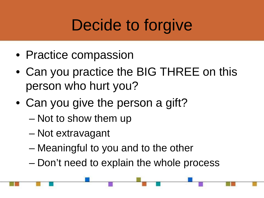## Decide to forgive

- Practice compassion
- Can you practice the BIG THREE on this person who hurt you?
- Can you give the person a gift?
	- Not to show them up
	- Not extravagant
	- Meaningful to you and to the other
	- Don't need to explain the whole process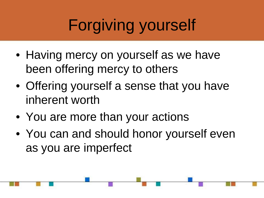# Forgiving yourself

- Having mercy on yourself as we have been offering mercy to others
- Offering yourself a sense that you have inherent worth
- You are more than your actions
- You can and should honor yourself even as you are imperfect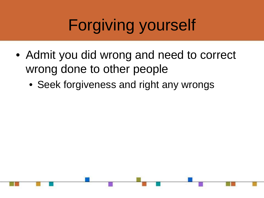# Forgiving yourself

- Admit you did wrong and need to correct wrong done to other people
	- Seek forgiveness and right any wrongs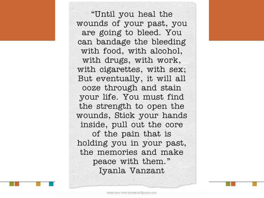"Until you heal the wounds of your past, you are going to bleed. You can bandage the bleeding with food, with alcohol, with drugs, with work, with cigarettes, with sex; But eventually, it will all ooze through and stain your life. You must find the strength to open the wounds, Stick your hands inside, pull out the core of the pain that is holding you in your past, the memories and make peace with them." Iyanla Vanzant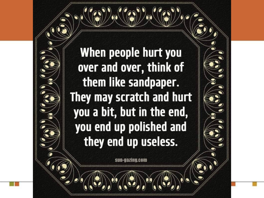When people hurt you over and over, think of them like sandpaper. They may scratch and hurt you a bit, but in the end, you end up polished and they end up useless.

**SHN-GAZIHU.COM**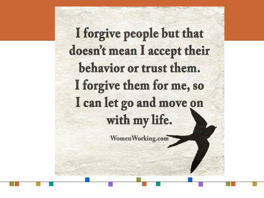I forgive people but that doesn't mean I accept their behavior or trust them. I forgive them for me, so I can let go and move on with my life.

WomenWorking.com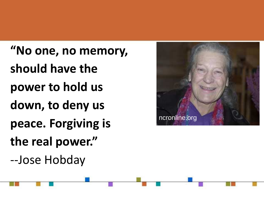**"No one, no memory, should have the power to hold us down, to deny us peace. Forgiving is the real power."** --Jose Hobday

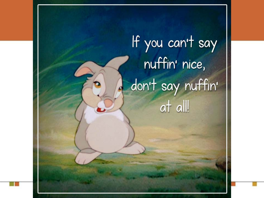